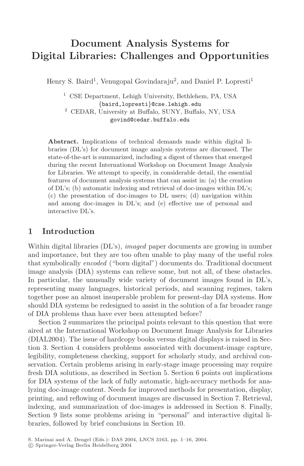# **Document Analysis Systems for Digital Libraries: Challenges and Opportunities**

Henry S. Baird<sup>1</sup>, Venugopal Govindaraju<sup>2</sup>, and Daniel P. Lopresti<sup>1</sup>

<sup>1</sup> CSE Department, Lehigh University, Bethlehem, PA, USA *{*baird,lopresti*}*@cse.lehigh.edu <sup>2</sup> CEDAR, University at Buffalo, SUNY, Buffalo, NY, USA govind@cedar.buffalo.edu

**Abstract.** Implications of technical demands made within digital libraries (DL's) for document image analysis systems are discussed. The state-of-the-art is summarized, including a digest of themes that emerged during the recent International Workshop on Document Image Analysis for Libraries. We attempt to specify, in considerable detail, the essential features of document analysis systems that can assist in: (a) the creation of DL's; (b) automatic indexing and retrieval of doc-images within DL's; (c) the presentation of doc-images to DL users; (d) navigation within and among doc-images in DL's; and (e) effective use of personal and interactive DL's.

## **1 Introduction**

Within digital libraries (DL's), *imaged* paper documents are growing in number and importance, but they are too often unable to play many of the useful roles that symbolically *encoded* ("born digital") documents do. Traditional document image analysis (DIA) systems can relieve some, but not all, of these obstacles. In particular, the unusually wide variety of document images found in DL's, representing many languages, historical periods, and scanning regimes, taken together pose an almost insuperable problem for present-day DIA systems. How should DIA systems be redesigned to assist in the solution of a far broader range of DIA problems than have ever been attempted before?

Section 2 summarizes the principal points relevant to this question that were aired at the International Workshop on Document Image Analysis for Libraries (DIAL2004). The issue of hardcopy books versus digital displays is raised in Section 3. Section 4 considers problems associated with document-image capture, legibility, completeness checking, support for scholarly study, and archival conservation. Certain problems arising in early-stage image processing may require fresh DIA solutions, as described in Section 5. Section 6 points out implications for DIA systems of the lack of fully automatic, high-accuracy methods for analyzing doc-image content. Needs for improved methods for presentation, display, printing, and reflowing of document images are discussed in Section 7. Retrieval, indexing, and summarization of doc-images is addressed in Section 8. Finally, Section 9 lists some problems arising in "personal" and interactive digital libraries, followed by brief conclusions in Section 10.

S. Marinai and A. Dengel (Eds.): DAS 2004, LNCS 3163, pp. 1–16, 2004.

c Springer-Verlag Berlin Heidelberg 2004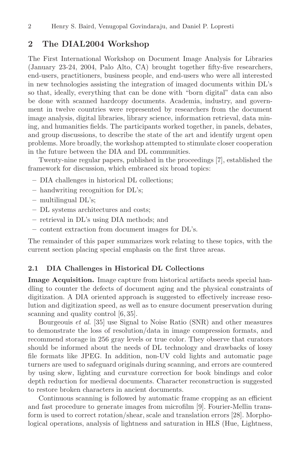## **2 The DIAL2004 Workshop**

The First International Workshop on Document Image Analysis for Libraries (January 23-24, 2004, Palo Alto, CA) brought together fifty-five researchers, end-users, practitioners, business people, and end-users who were all interested in new technologies assisting the integration of imaged documents within DL's so that, ideally, everything that can be done with "born digital" data can also be done with scanned hardcopy documents. Academia, industry, and government in twelve countries were represented by researchers from the document image analysis, digital libraries, library science, information retrieval, data mining, and humanities fields. The participants worked together, in panels, debates, and group discussions, to describe the state of the art and identify urgent open problems. More broadly, the workshop attempted to stimulate closer cooperation in the future between the DIA and DL communities.

Twenty-nine regular papers, published in the proceedings [7], established the framework for discussion, which embraced six broad topics:

- **–** DIA challenges in historical DL collections;
- **–** handwriting recognition for DL's;
- **–** multilingual DL's;
- **–** DL systems architectures and costs;
- **–** retrieval in DL's using DIA methods; and
- **–** content extraction from document images for DL's.

The remainder of this paper summarizes work relating to these topics, with the current section placing special emphasis on the first three areas.

### **2.1 DIA Challenges in Historical DL Collections**

**Image Acquisition.** Image capture from historical artifacts needs special handling to counter the defects of document aging and the physical constraints of digitization. A DIA oriented approach is suggested to effectively increase resolution and digitization speed, as well as to ensure document preservation during scanning and quality control [6, 35].

Bourgeouis *et al.* [35] use Signal to Noise Ratio (SNR) and other measures to demonstrate the loss of resolution/data in image compression formats, and recommend storage in 256 gray levels or true color. They observe that curators should be informed about the needs of DL technology and drawbacks of lossy file formats like JPEG. In addition, non-UV cold lights and automatic page turners are used to safeguard originals during scanning, and errors are countered by using skew, lighting and curvature correction for book bindings and color depth reduction for medieval documents. Character reconstruction is suggested to restore broken characters in ancient documents.

Continuous scanning is followed by automatic frame cropping as an efficient and fast procedure to generate images from microfilm [9]. Fourier-Mellin transform is used to correct rotation/shear, scale and translation errors [28]. Morphological operations, analysis of lightness and saturation in HLS (Hue, Lightness,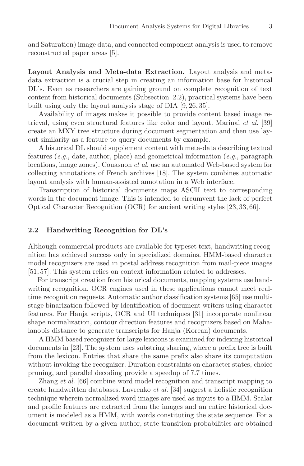and Saturation) image data, and connected component analysis is used to remove reconstructed paper areas [5].

**Layout Analysis and Meta-data Extraction.** Layout analysis and metadata extraction is a crucial step in creating an information base for historical DL's. Even as researchers are gaining ground on complete recognition of text content from historical documents (Subsection 2.2), practical systems have been built using only the layout analysis stage of DIA [9, 26, 35].

Availability of images makes it possible to provide content based image retrieval, using even structural features like color and layout. Marinai *et al.* [39] create an MXY tree structure during document segmentation and then use layout similarity as a feature to query documents by example.

A historical DL should supplement content with meta-data describing textual features (*e.g.*, date, author, place) and geometrical information (*e.g.*, paragraph locations, image zones). Couasnon *et al.* use an automated Web-based system for collecting annotations of French archives [18]. The system combines automatic layout analysis with human-assisted annotation in a Web interface.

Transcription of historical documents maps ASCII text to corresponding words in the document image. This is intended to circumvent the lack of perfect Optical Character Recognition (OCR) for ancient writing styles [23, 33, 66].

### **2.2 Handwriting Recognition for DL's**

Although commercial products are available for typeset text, handwriting recognition has achieved success only in specialized domains. HMM-based character model recognizers are used in postal address recognition from mail-piece images [51, 57]. This system relies on context information related to addresses.

For transcript creation from historical documents, mapping systems use handwriting recognition. OCR engines used in these applications cannot meet realtime recognition requests. Automatic author classification systems [65] use multistage binarization followed by identification of document writers using character features. For Hanja scripts, OCR and UI techniques [31] incorporate nonlinear shape normalization, contour direction features and recognizers based on Mahalanobis distance to generate transcripts for Hanja (Korean) documents.

A HMM based recognizer for large lexicons is examined for indexing historical documents in [23]. The system uses substring sharing, where a prefix tree is built from the lexicon. Entries that share the same prefix also share its computation without invoking the recognizer. Duration constraints on character states, choice pruning, and parallel decoding provide a speedup of 7*.*7 times.

Zhang *et al.* [66] combine word model recognition and transcript mapping to create handwritten databases. Lavrenko *et al.* [34] suggest a holistic recognition technique wherein normalized word images are used as inputs to a HMM. Scalar and profile features are extracted from the images and an entire historical document is modeled as a HMM, with words constituting the state sequence. For a document written by a given author, state transition probabilities are obtained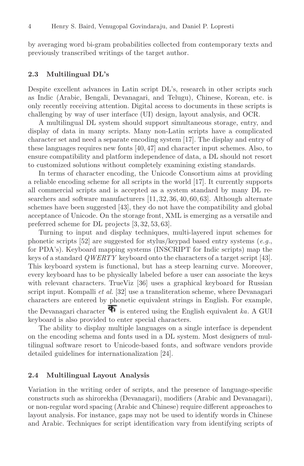by averaging word bi-gram probabilities collected from contemporary texts and previously transcribed writings of the target author.

### **2.3 Multilingual DL's**

Despite excellent advances in Latin script DL's, research in other scripts such as Indic (Arabic, Bengali, Devanagari, and Telugu), Chinese, Korean, etc. is only recently receiving attention. Digital access to documents in these scripts is challenging by way of user interface (UI) design, layout analysis, and OCR.

A multilingual DL system should support simultaneous storage, entry, and display of data in many scripts. Many non-Latin scripts have a complicated character set and need a separate encoding system [17]. The display and entry of these languages requires new fonts [40, 47] and character input schemes. Also, to ensure compatibility and platform independence of data, a DL should not resort to customized solutions without completely examining existing standards.

In terms of character encoding, the Unicode Consortium aims at providing a reliable encoding scheme for all scripts in the world [17]. It currently supports all commercial scripts and is accepted as a system standard by many DL researchers and software manufacturers [11, 32, 36, 40, 60, 63]. Although alternate schemes have been suggested [43], they do not have the compatibility and global acceptance of Unicode. On the storage front, XML is emerging as a versatile and preferred scheme for DL projects [3, 32, 53, 63].

Turning to input and display techniques, multi-layered input schemes for phonetic scripts [52] are suggested for stylus/keypad based entry systems (*e.g.*, for PDA's). Keyboard mapping systems (INSCRIPT for Indic scripts) map the keys of a standard *QWERTY* keyboard onto the characters of a target script [43]. This keyboard system is functional, but has a steep learning curve. Moreover, every keyboard has to be physically labeled before a user can associate the keys with relevant characters. TrueViz [36] uses a graphical keyboard for Russian script input. Kompalli *et al.* [32] use a transliteration scheme, where Devanagari characters are entered by phonetic equivalent strings in English. For example, the Devanagari character  $\overline{\Phi}$  is entered using the English equivalent *ka*. A GUI keyboard is also provided to enter special characters.

The ability to display multiple languages on a single interface is dependent on the encoding schema and fonts used in a DL system. Most designers of multilingual software resort to Unicode-based fonts, and software vendors provide detailed guidelines for internationalization [24].

### **2.4 Multilingual Layout Analysis**

Variation in the writing order of scripts, and the presence of language-specific constructs such as shirorekha (Devanagari), modifiers (Arabic and Devanagari), or non-regular word spacing (Arabic and Chinese) require different approaches to layout analysis. For instance, gaps may not be used to identify words in Chinese and Arabic. Techniques for script identification vary from identifying scripts of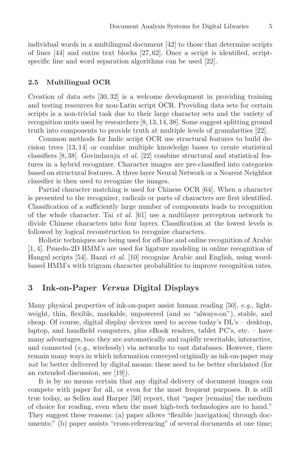individual words in a multilingual document [42] to those that determine scripts of lines [44] and entire text blocks [27, 62]. Once a script is identified, scriptspecific line and word separation algorithms can be used [22].

### **2.5 Multilingual OCR**

Creation of data sets [30, 32] is a welcome development in providing training and testing resources for non-Latin script OCR. Providing data sets for certain scripts is a non-trivial task due to their large character sets and the variety of recognition units used by researchers [8, 13, 14, 38]. Some suggest splitting ground truth into components to provide truth at multiple levels of granularities [22].

Common methods for Indic script OCR use structural features to build decision trees [13, 14] or combine multiple knowledge bases to create statistical classifiers [8, 38]. Govindaraju *et al.* [22] combine structural and statistical features in a hybrid recognizer. Character images are pre-classified into categories based on structural features. A three layer Neural Network or a Nearest Neighbor classifier is then used to recognize the images.

Partial character matching is used for Chinese OCR [64]. When a character is presented to the recognizer, radicals or parts of characters are first identified. Classification of a sufficiently large number of components leads to recognition of the whole character. Tai *et al.* [61] use a multilayer perceptron network to divide Chinese characters into four layers. Classification at the lowest levels is followed by logical reconstruction to recognize characters.

Holistic techniques are being used for off-line and online recognition of Arabic [1, 4]. Psuedo-2D HMM's are used for ligature modeling in online recognition of Hangul scripts [54]. Bazzi *et al.* [10] recognize Arabic and English, using wordbased HMM's with trigram character probabilities to improve recognition rates.

## **3 Ink-on-Paper** *Versus* **Digital Displays**

Many physical properties of ink-on-paper assist human reading [50], *e.g.*, lightweight, thin, flexible, markable, unpowered (and so "always-on"), stable, and cheap. Of course, digital display devices used to access today's DL's – desktop, laptop, and handheld computers, plus eBook readers, tablet PC's, etc. – have many advantages, too: they are automatically and rapidly rewritable, interactive, and connected (*e.g.*, wirelessly) via networks to vast databases. However, there remain many ways in which information conveyed originally as ink-on-paper *may not* be better delivered by digital means: these need to be better elucidated (for an extended discussion, see [19]).

It is by no means certain that any digital delivery of document images can compete with paper for all, or even for the most frequent purposes. It is still true today, as Sellen and Harper [50] report, that "paper [remains] the medium of choice for reading, even when the most high-tech technologies are to hand." They suggest these reasons: (a) paper allows "flexible [navigation] through documents;" (b) paper assists "cross-referencing" of several documents at one time;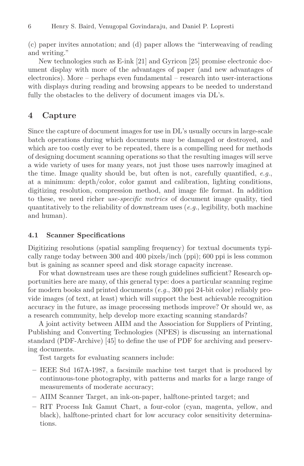(c) paper invites annotation; and (d) paper allows the "interweaving of reading and writing."

New technologies such as E-ink [21] and Gyricon [25] promise electronic document display with more of the advantages of paper (and new advantages of electronics). More – perhaps even fundamental – research into user-interactions with displays during reading and browsing appears to be needed to understand fully the obstacles to the delivery of document images via DL's.

### **4 Capture**

Since the capture of document images for use in DL's usually occurs in large-scale batch operations during which documents may be damaged or destroyed, and which are too costly ever to be repeated, there is a compelling need for methods of designing document scanning operations so that the resulting images will serve a wide variety of uses for many years, not just those uses narrowly imagined at the time. Image quality should be, but often is not, carefully quantified, *e.g.*, at a minimum: depth/color, color gamut and calibration, lighting conditions, digitizing resolution, compression method, and image file format. In addition to these, we need richer *use-specific metrics* of document image quality, tied quantitatively to the reliability of downstream uses (*e.g.*, legibility, both machine and human).

### **4.1 Scanner Specifications**

Digitizing resolutions (spatial sampling frequency) for textual documents typically range today between 300 and 400 pixels/inch (ppi); 600 ppi is less common but is gaining as scanner speed and disk storage capacity increase.

For what downstream uses are these rough guidelines sufficient? Research opportunities here are many, of this general type: does a particular scanning regime for modern books and printed documents (*e.g.*, 300 ppi 24-bit color) reliably provide images (of text, at least) which will support the best achievable recognition accuracy in the future, as image processing methods improve? Or should we, as a research community, help develop more exacting scanning standards?

A joint activity between AIIM and the Association for Suppliers of Printing, Publishing and Converting Technologies (NPES) is discussing an international standard (PDF-Archive) [45] to define the use of PDF for archiving and preserving documents.

Test targets for evaluating scanners include:

- **–** IEEE Std 167A-1987, a facsimile machine test target that is produced by continuous-tone photography, with patterns and marks for a large range of measurements of moderate accuracy;
- **–** AIIM Scanner Target, an ink-on-paper, halftone-printed target; and
- **–** RIT Process Ink Gamut Chart, a four-color (cyan, magenta, yellow, and black), halftone-printed chart for low accuracy color sensitivity determinations.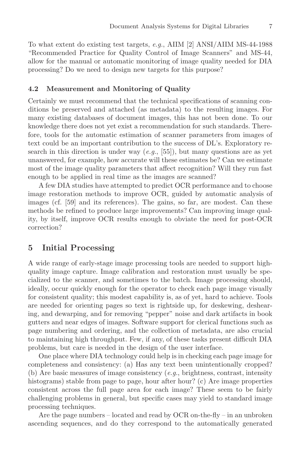To what extent do existing test targets, *e.g.*, AIIM [2] ANSI/AIIM MS-44-1988 "Recommended Practice for Quality Control of Image Scanners" and MS-44, allow for the manual or automatic monitoring of image quality needed for DIA processing? Do we need to design new targets for this purpose?

### **4.2 Measurement and Monitoring of Quality**

Certainly we must recommend that the technical specifications of scanning conditions be preserved and attached (as metadata) to the resulting images. For many existing databases of document images, this has not been done. To our knowledge there does not yet exist a recommendation for such standards. Therefore, tools for the automatic estimation of scanner parameters from images of text could be an important contribution to the success of DL's. Exploratory research in this direction is under way (*e.g.*, [55]), but many questions are as yet unanswered, for example, how accurate will these estimates be? Can we estimate most of the image quality parameters that affect recognition? Will they run fast enough to be applied in real time as the images are scanned?

A few DIA studies have attempted to predict OCR performance and to choose image restoration methods to improve OCR, guided by automatic analysis of images (cf. [59] and its references). The gains, so far, are modest. Can these methods be refined to produce large improvements? Can improving image quality, by itself, improve OCR results enough to obviate the need for post-OCR correction?

## **5 Initial Processing**

A wide range of early-stage image processing tools are needed to support highquality image capture. Image calibration and restoration must usually be specialized to the scanner, and sometimes to the batch. Image processing should, ideally, occur quickly enough for the operator to check each page image visually for consistent quality; this modest capability is, as of yet, hard to achieve. Tools are needed for orienting pages so text is rightside up, for deskewing, deshearing, and dewarping, and for removing "pepper" noise and dark artifacts in book gutters and near edges of images. Software support for clerical functions such as page numbering and ordering, and the collection of metadata, are also crucial to maintaining high throughput. Few, if any, of these tasks present difficult DIA problems, but care is needed in the design of the user interface.

One place where DIA technology could help is in checking each page image for completeness and consistency: (a) Has any text been unintentionally cropped? (b) Are basic measures of image consistency (*e.g.*, brightness, contrast, intensity histograms) stable from page to page, hour after hour? (c) Are image properties consistent across the full page area for each image? These seem to be fairly challenging problems in general, but specific cases may yield to standard image processing techniques.

Are the page numbers – located and read by OCR on-the-fly – in an unbroken ascending sequences, and do they correspond to the automatically generated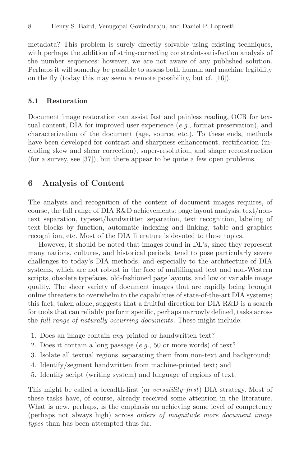metadata? This problem is surely directly solvable using existing techniques, with perhaps the addition of string-correcting constraint-satisfaction analysis of the number sequences: however, we are not aware of any published solution. Perhaps it will someday be possible to assess both human and machine legibility on the fly (today this may seem a remote possibility, but cf. [16]).

### **5.1 Restoration**

Document image restoration can assist fast and painless reading, OCR for textual content, DIA for improved user experience (*e.g.*, format preservation), and characterization of the document (age, source, etc.). To these ends, methods have been developed for contrast and sharpness enhancement, rectification (including skew and shear correction), super-resolution, and shape reconstruction (for a survey, see [37]), but there appear to be quite a few open problems.

## **6 Analysis of Content**

The analysis and recognition of the content of document images requires, of course, the full range of DIA R&D achievements: page layout analysis, text/nontext separation, typeset/handwritten separation, text recognition, labeling of text blocks by function, automatic indexing and linking, table and graphics recognition, etc. Most of the DIA literature is devoted to these topics.

However, it should be noted that images found in DL's, since they represent many nations, cultures, and historical periods, tend to pose particularly severe challenges to today's DIA methods, and especially to the architecture of DIA systems, which are not robust in the face of multilingual text and non-Western scripts, obsolete typefaces, old-fashioned page layouts, and low or variable image quality. The sheer variety of document images that are rapidly being brought online threatens to overwhelm to the capabilities of state-of-the-art DIA systems; this fact, taken alone, suggests that a fruitful direction for DIA R&D is a search for tools that can reliably perform specific, perhaps narrowly defined, tasks across the *full range of naturally occurring documents*. These might include:

- 1. Does an image contain *any* printed or handwritten text?
- 2. Does it contain a long passage (*e.g.*, 50 or more words) of text?
- 3. Isolate all textual regions, separating them from non-text and background;
- 4. Identify/segment handwritten from machine-printed text; and
- 5. Identify script (writing system) and language of regions of text.

This might be called a breadth-first (or *versatility–first*) DIA strategy. Most of these tasks have, of course, already received some attention in the literature. What is new, perhaps, is the emphasis on achieving some level of competency (perhaps not always high) across *orders of magnitude more document image types* than has been attempted thus far.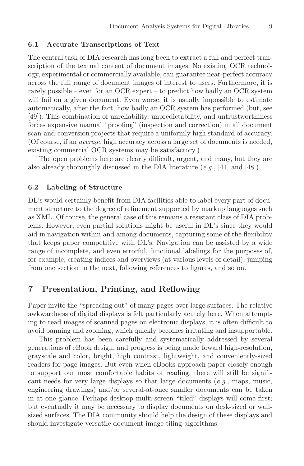### **6.1 Accurate Transcriptions of Text**

The central task of DIA research has long been to extract a full and perfect transcription of the textual content of document images. No existing OCR technology, experimental or commercially available, can guarantee near-perfect accuracy across the full range of document images of interest to users. Furthermore, it is rarely possible – even for an OCR expert – to predict how badly an OCR system will fail on a given document. Even worse, it is usually impossible to estimate automatically, after the fact, how badly an OCR system has performed (but, see [49]). This combination of unreliability, unpredictability, and untrustworthiness forces expensive manual "proofing" (inspection and correction) in all document scan-and-conversion projects that require a uniformly high standard of accuracy. (Of course, if an *average* high accuracy across a large set of documents is needed, existing commercial OCR systems may be satisfactory.)

The open problems here are clearly difficult, urgent, and many, but they are also already thoroughly discussed in the DIA literature (*e.g.*, [41] and [48]).

#### **6.2 Labeling of Structure**

DL's would certainly benefit from DIA facilities able to label every part of document structure to the degree of refinement supported by markup languages such as XML. Of course, the general case of this remains a resistant class of DIA problems. However, even partial solutions might be useful in DL's since they would aid in navigation within and among documents, capturing some of the flexibility that keeps paper competitive with DL's. Navigation can be assisted by a wide range of incomplete, and even errorful, functional labelings for the purposes of, for example, creating indices and overviews (at various levels of detail), jumping from one section to the next, following references to figures, and so on.

## **7 Presentation, Printing, and Reflowing**

Paper invite the "spreading out" of many pages over large surfaces. The relative awkwardness of digital displays is felt particularly acutely here. When attempting to read images of scanned pages on electronic displays, it is often difficult to avoid panning and zooming, which quickly becomes irritating and insupportable.

This problem has been carefully and systematically addressed by several generations of eBook design, and progress is being made toward high-resolution, grayscale and color, bright, high contrast, lightweight, and conveniently-sized readers for page images. But even when eBooks approach paper closely enough to support our most comfortable habits of reading, there will still be significant needs for very large displays so that large documents (*e.g.*, maps, music, engineering drawings) and/or several-at-once smaller documents can be taken in at one glance. Perhaps desktop multi-screen "tiled" displays will come first; but eventually it may be necessary to display documents on desk-sized or wallsized surfaces. The DIA community should help the design of these displays and should investigate versatile document-image tiling algorithms.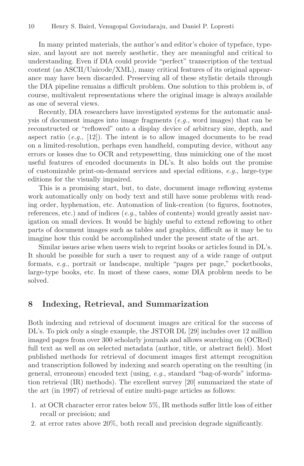In many printed materials, the author's and editor's choice of typeface, typesize, and layout are not merely aesthetic, they are meaningful and critical to understanding. Even if DIA could provide "perfect" transcription of the textual content (as ASCII/Unicode/XML), many critical features of its original appearance may have been discarded. Preserving all of these stylistic details through the DIA pipeline remains a difficult problem. One solution to this problem is, of course, multivalent representations where the original image is always available as one of several views.

Recently, DIA researchers have investigated systems for the automatic analysis of document images into image fragments (*e.g.*, word images) that can be reconstructed or "reflowed" onto a display device of arbitrary size, depth, and aspect ratio  $(e.g., [12])$ . The intent is to allow imaged documents to be read on a limited-resolution, perhaps even handheld, computing device, without any errors or losses due to OCR and retypesetting, thus mimicking one of the most useful features of encoded documents in DL's. It also holds out the promise of customizable print-on-demand services and special editions, *e.g.*, large-type editions for the visually impaired.

This is a promising start, but, to date, document image reflowing systems work automatically only on body text and still have some problems with reading order, hyphenation, etc. Automation of link-creation (to figures, footnotes, references, etc.) and of indices (*e.g.*, tables of contents) would greatly assist navigation on small devices. It would be highly useful to extend reflowing to other parts of document images such as tables and graphics, difficult as it may be to imagine how this could be accomplished under the present state of the art.

Similar issues arise when users wish to reprint books or articles found in DL's. It should be possible for such a user to request any of a wide range of output formats, *e.g.*, portrait or landscape, multiple "pages per page," pocketbooks, large-type books, etc. In most of these cases, some DIA problem needs to be solved.

## **8 Indexing, Retrieval, and Summarization**

Both indexing and retrieval of document images are critical for the success of DL's. To pick only a single example, the JSTOR DL [29] includes over 12 million imaged pages from over 300 scholarly journals and allows searching on (OCRed) full text as well as on selected metadata (author, title, or abstract field). Most published methods for retrieval of document images first attempt recognition and transcription followed by indexing and search operating on the resulting (in general, erroneous) encoded text (using, *e.g.*, standard "bag-of-words" information retrieval (IR) methods). The excellent survey [20] summarized the state of the art (in 1997) of retrieval of entire multi-page articles as follows:

- 1. at OCR character error rates below 5%, IR methods suffer little loss of either recall or precision; and
- 2. at error rates above 20%, both recall and precision degrade significantly.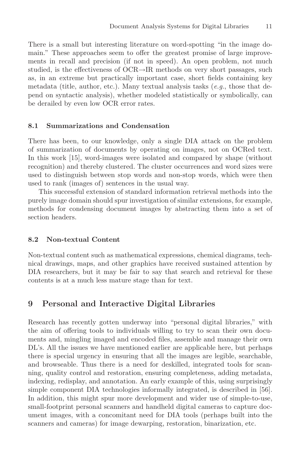There is a small but interesting literature on word-spotting "in the image domain." These approaches seem to offer the greatest promise of large improvements in recall and precision (if not in speed). An open problem, not much studied, is the effectiveness of  $OCR \rightarrow IR$  methods on very short passages, such as, in an extreme but practically important case, short fields containing key metadata (title, author, etc.). Many textual analysis tasks (*e.g.*, those that depend on syntactic analysis), whether modeled statistically or symbolically, can be derailed by even low OCR error rates.

### **8.1 Summarizations and Condensation**

There has been, to our knowledge, only a single DIA attack on the problem of summarization of documents by operating on images, not on OCRed text. In this work [15], word-images were isolated and compared by shape (without recognition) and thereby clustered. The cluster occurrences and word sizes were used to distinguish between stop words and non-stop words, which were then used to rank (images of) sentences in the usual way.

This successful extension of standard information retrieval methods into the purely image domain should spur investigation of similar extensions, for example, methods for condensing document images by abstracting them into a set of section headers.

### **8.2 Non-textual Content**

Non-textual content such as mathematical expressions, chemical diagrams, technical drawings, maps, and other graphics have received sustained attention by DIA researchers, but it may be fair to say that search and retrieval for these contents is at a much less mature stage than for text.

## **9 Personal and Interactive Digital Libraries**

Research has recently gotten underway into "personal digital libraries," with the aim of offering tools to individuals willing to try to scan their own documents and, mingling imaged and encoded files, assemble and manage their own DL's. All the issues we have mentioned earlier are applicable here, but perhaps there is special urgency in ensuring that all the images are legible, searchable, and browseable. Thus there is a need for deskilled, integrated tools for scanning, quality control and restoration, ensuring completeness, adding metadata, indexing, redisplay, and annotation. An early example of this, using surprisingly simple component DIA technologies informally integrated, is described in [56]. In addition, this might spur more development and wider use of simple-to-use, small-footprint personal scanners and handheld digital cameras to capture document images, with a concomitant need for DIA tools (perhaps built into the scanners and cameras) for image dewarping, restoration, binarization, etc.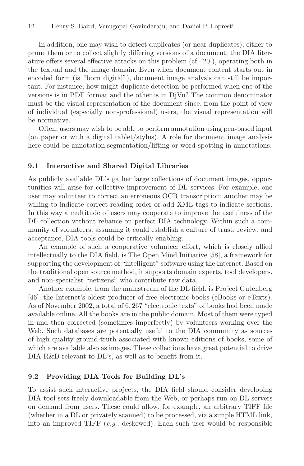In addition, one may wish to detect duplicates (or near duplicates), either to prune them or to collect slightly differing versions of a document; the DIA literature offers several effective attacks on this problem (cf. [20]), operating both in the textual and the image domain. Even when document content starts out in encoded form (is "born digital"), document image analysis can still be important. For instance, how might duplicate detection be performed when one of the versions is in PDF format and the other is in DjVu? The common denominator must be the visual representation of the document since, from the point of view of individual (especially non-professional) users, the visual representation will be normative.

Often, users may wish to be able to perform annotation using pen-based input (on paper or with a digital tablet/stylus). A role for document image analysis here could be annotation segmentation/lifting or word-spotting in annotations.

### **9.1 Interactive and Shared Digital Libraries**

As publicly available DL's gather large collections of document images, opportunities will arise for collective improvement of DL services. For example, one user may volunteer to correct an erroneous OCR transcription; another may be willing to indicate correct reading order or add XML tags to indicate sections. In this way a multitude of users may cooperate to improve the usefulness of the DL collection without reliance on perfect DIA technology. Within such a community of volunteers, assuming it could establish a culture of trust, review, and acceptance, DIA tools could be critically enabling.

An example of such a cooperative volunteer effort, which is closely allied intellectually to the DIA field, is The Open Mind Initiative [58], a framework for supporting the development of "intelligent" software using the Internet. Based on the traditional open source method, it supports domain experts, tool developers, and non-specialist "netizens" who contribute raw data.

Another example, from the mainstream of the DL field, is Project Gutenberg [46], the Internet's oldest producer of free electronic books (eBooks or eTexts). As of November 2002, a total of 6*,* 267 "electronic texts" of books had been made available online. All the books are in the public domain. Most of them were typed in and then corrected (sometimes imperfectly) by volunteers working over the Web. Such databases are potentially useful to the DIA community as sources of high quality ground-truth associated with known editions of books, some of which are available also as images. These collections have great potential to drive DIA R&D relevant to DL's, as well as to benefit from it.

### **9.2 Providing DIA Tools for Building DL's**

To assist such interactive projects, the DIA field should consider developing DIA tool sets freely downloadable from the Web, or perhaps run on DL servers on demand from users. These could allow, for example, an arbitrary TIFF file (whether in a DL or privately scanned) to be processed, via a simple HTML link, into an improved TIFF (*e.g.*, deskewed). Each such user would be responsible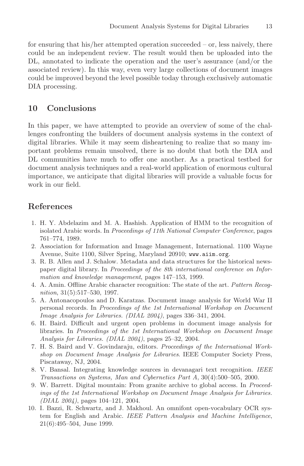for ensuring that his/her attempted operation succeeded – or, less naively, there could be an independent review. The result would then be uploaded into the DL, annotated to indicate the operation and the user's assurance (and/or the associated review). In this way, even very large collections of document images could be improved beyond the level possible today through exclusively automatic DIA processing.

## **10 Conclusions**

In this paper, we have attempted to provide an overview of some of the challenges confronting the builders of document analysis systems in the context of digital libraries. While it may seem disheartening to realize that so many important problems remain unsolved, there is no doubt that both the DIA and DL communities have much to offer one another. As a practical testbed for document analysis techniques and a real-world application of enormous cultural importance, we anticipate that digital libraries will provide a valuable focus for work in our field.

## **References**

- 1. H. Y. Abdelazim and M. A. Hashish. Application of HMM to the recognition of isolated Arabic words. In Proceedings of 11th National Computer Conference, pages 761–774, 1989.
- 2. Association for Information and Image Management, International. 1100 Wayne Avenue, Suite 1100, Silver Spring, Maryland 20910; www.aiim.org.
- 3. R. B. Allen and J. Schalow. Metadata and data structures for the historical newspaper digital library. In Proceedings of the 8th international conference on Information and knowledge management, pages 147–153, 1999.
- 4. A. Amin. Offline Arabic character recognition: The state of the art. Pattern Recognition, 31(5):517–530, 1997.
- 5. A. Antonacopoulos and D. Karatzas. Document image analysis for World War II personal records. In Proceedings of the 1st International Workshop on Document Image Analysis for Libraries. (DIAL 2004), pages 336–341, 2004.
- 6. H. Baird. Difficult and urgent open problems in document image analysis for libraries. In Proceedings of the 1st International Workshop on Document Image Analysis for Libraries. (DIAL 2004), pages 25–32, 2004.
- 7. H. S. Baird and V. Govindaraju, editors. Proceedings of the International Workshop on Document Image Analysis for Libraries. IEEE Computer Society Press, Piscataway, NJ, 2004.
- 8. V. Bansal. Integrating knowledge sources in devanagari text recognition. IEEE Transactions on Systems, Man and Cybernetics Part A, 30(4):500–505, 2000.
- 9. W. Barrett. Digital mountain: From granite archive to global access. In Proceedings of the 1st International Workshop on Document Image Analysis for Libraries. (DIAL 2004), pages 104–121, 2004.
- 10. I. Bazzi, R. Schwartz, and J. Makhoul. An omnifont open-vocabulary OCR system for English and Arabic. IEEE Pattern Analysis and Machine Intelligence, 21(6):495–504, June 1999.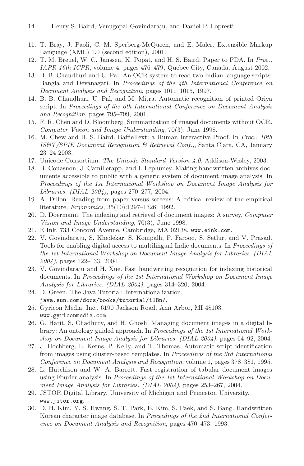- 11. T. Bray, J. Paoli, C. M. Sperberg-McQueen, and E. Maler. Extensible Markup Language (XML) 1.0 (second edition), 2001.
- 12. T. M. Breuel, W. C. Janssen, K. Popat, and H. S. Baird. Paper to PDA. In Proc., IAPR 16th ICPR, volume 4, pages 476–479, Quebec City, Canada, August 2002.
- 13. B. B. Chaudhuri and U. Pal. An OCR system to read two Indian language scripts: Bangla and Devanagari. In Proceedings of the 4th International Conference on Document Analysis and Recognition, pages 1011–1015, 1997.
- 14. B. B. Chaudhuri, U. Pal, and M. Mitra. Automatic recognition of printed Oriya script. In Proceedings of the 6th International Conference on Document Analysis and Recognition, pages 795–799, 2001.
- 15. F. R. Chen and D. Bloomberg. Summarization of imaged documents without OCR. Computer Vision and Image Understanding, 70(3), June 1998.
- 16. M. Chew and H. S. Baird. BaffleText: a Human Interactive Proof. In Proc., 10th IS&T/SPIE Document Recognition & Retrieval Conf., Santa Clara, CA, January 23–24 2003.
- 17. Unicode Consortium. The Unicode Standard Version 4.0. Addison-Wesley, 2003.
- 18. B. Couasnon, J. Camillerapp, and I. Leplumey. Making handwritten archives documents accessible to public with a generic system of document image analysis. In Proceedings of the 1st International Workshop on Document Image Analysis for Libraries. (DIAL 2004), pages 270–277, 2004.
- 19. A. Dillon. Reading from paper versus screens: A critical review of the empirical literature. Ergonomics, 35(10):1297–1326, 1992.
- 20. D. Doermann. The indexing and retrieval of document images: A survey. Computer Vision and Image Understanding, 70(3), June 1998.
- 21. E Ink, 733 Concord Avenue, Cambridge, MA 02138. www.eink.com.
- 22. V. Govindaraju, S. Khedekar, S. Kompalli, F. Farooq, S. Setlur, and V. Prasad. Tools for enabling digital access to multilingual Indic documents. In Proceedings of the 1st International Workshop on Document Image Analysis for Libraries. (DIAL 2004), pages 122–133, 2004.
- 23. V. Govindaraju and H. Xue. Fast handwriting recognition for indexing historical documents. In Proceedings of the 1st International Workshop on Document Image Analysis for Libraries. (DIAL 2004), pages 314–320, 2004.
- 24. D. Green. The Java Tutorial: Internationalization. java.sun.com/docs/books/tutorial/i18n/.
- 25. Gyricon Media, Inc., 6190 Jackson Road, Ann Arbor, MI 48103. www.gyriconmedia.com.
- 26. G. Harit, S. Chadhury, and H. Ghosh. Managing document images in a digital library: An ontology guided approach. In Proceedings of the 1st International Workshop on Document Image Analysis for Libraries. (DIAL 2004), pages 64–92, 2004.
- 27. J. Hochberg, L. Kerns, P. Kelly, and T. Thomas. Automatic script identification from images using cluster-based templates. In Proceedings of the 3rd International Conference on Document Analysis and Recognition, volume 1, pages 378–381, 1995.
- 28. L. Hutchison and W. A. Barrett. Fast registration of tabular document images using Fourier analysis. In Proceedings of the 1st International Workshop on Document Image Analysis for Libraries. (DIAL 2004), pages 253–267, 2004.
- 29. JSTOR Digital Library. University of Michigan and Princeton University. www.jstor.org.
- 30. D. H. Kim, Y. S. Hwang, S. T. Park, E. Kim, S. Paek, and S. Bang. Handwritten Korean character image database. In Proceedings of the 2nd International Conference on Document Analysis and Recognition, pages 470–473, 1993.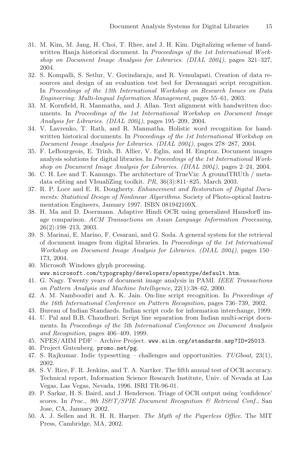- 31. M. Kim, M. Jang, H. Choi, T. Rhee, and J. H. Kim. Digitalizing scheme of handwritten Hanja historical document. In Proceedings of the 1st International Workshop on Document Image Analysis for Libraries. (DIAL 2004), pages 321–327, 2004.
- 32. S. Kompalli, S. Setlur, V. Govindaraju, and R. Vemulapati. Creation of data resources and design of an evaluation test bed for Devanagari script recognition. In Proceedings of the 13th International Workshop on Research Issues on Data Engineering: Multi-lingual Information Management, pages 55–61, 2003.
- 33. M. Kornfield, R. Manmatha, and J. Allan. Text alignment with handwritten documents. In Proceedings of the 1st International Workshop on Document Image Analysis for Libraries. (DIAL 2004), pages 195–209, 2004.
- 34. V. Lavrenko, T. Rath, and R. Manmatha. Holistic word recognition for handwritten historical documents. In Proceedings of the 1st International Workshop on Document Image Analysis for Libraries. (DIAL 2004), pages 278–287, 2004.
- 35. F. LeBourgeois, E. Trinh, B. Allier, V. Eglin, and H. Emptoz. Document images analysis solutions for digital libraries. In Proceedings of the 1st International Workshop on Document Image Analysis for Libraries. (DIAL 2004), pages 2–24, 2004.
- 36. C. H. Lee and T. Kanungo. The architecture of TrueViz: A groundTRUth / metadata editing and VIsualiZing toolkit. PR, 36(3):811–825, March 2003.
- 37. R. P. Loce and E. R. Dougherty. Enhancement and Restoration of Digital Documents: Statistical Design of Nonlinear Algorithms. Society of Photo-optical Instrumentation Engineers, January 1997. ISBN 081942109X.
- 38. H. Ma and D. Doermann. Adaptive Hindi OCR using generalized Hausdorff image comparison. ACM Transactions on Asian Language Information Processing, 26(2):198–213, 2003.
- 39. S. Marinai, E. Marino, F. Cesarani, and G. Soda. A general system for the retrieval of document images from digital libraries. In Proceedings of the 1st International Workshop on Document Image Analysis for Libraries. (DIAL 2004), pages 150– 173, 2004.
- 40. Microsoft Windows glyph processing. www.microsoft.com/typography/developers/opentype/default.htm.
- 41. G. Nagy. Twenty years of document image analysis in PAMI. IEEE Transactions on Pattern Analysis and Machine Intelligence, 22(1):38–62, 2000.
- 42. A. M. Namboodiri and A. K. Jain. On-line script recognition. In Proceedings of the 16th International Conference on Pattern Recognition, pages 736–739, 2002.
- 43. Bureau of Indian Standards. Indian script code for information interchange, 1999.
- 44. U. Pal and B.B. Chaudhuri. Script line separation from Indian multi-script documents. In Proceedings of the 5th International Conference on Document Analysis and Recognition, pages 406–409, 1999.
- 45. NPES/AIIM PDF Archive Project. www.aiim.org/standards.asp?ID=25013.
- 46. Project Gutenberg. promo.net/pg.
- 47. S. Rajkumar. Indic typesetting challenges and opportunities.  $TUGboat$ , 23(1), 2002.
- 48. S. V. Rice, F. R. Jenkins, and T. A. Nartker. The fifth annual test of OCR accuracy. Technical report, Information Science Research Institute, Univ. of Nevada at Las Vegas, Las Vegas, Nevada, 1996. ISRI TR-96-01.
- 49. P. Sarkar, H. S. Baird, and J. Henderson. Triage of OCR output using 'confidence' scores. In Proc., 9th IS&T/SPIE Document Recognition & Retrieval Conf., San Jose, CA, January 2002.
- 50. A. J. Sellen and R. H. R. Harper. The Myth of the Paperless Office. The MIT Press, Cambridge, MA, 2002.